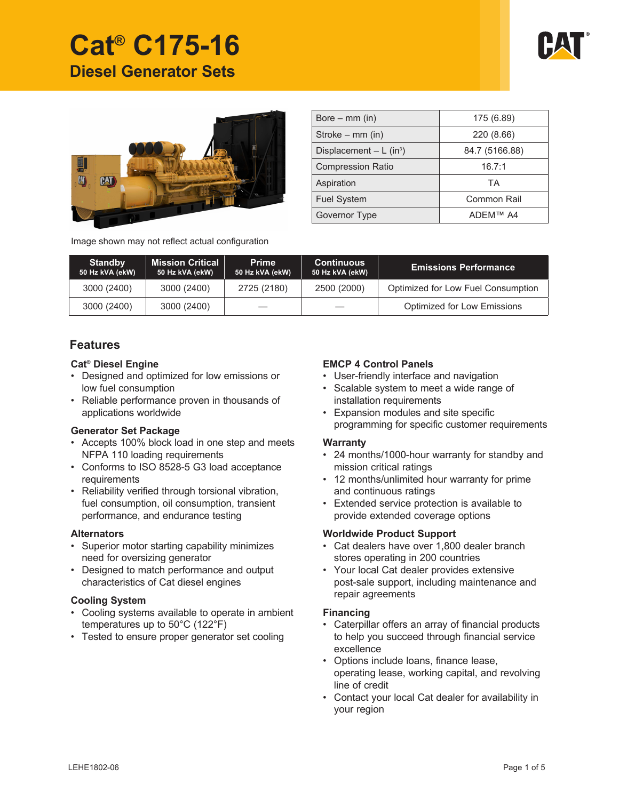

# **Cat® C175-16 Diesel Generator Sets**



| Bore $-$ mm (in)                      | 175 (6.89)     |  |  |  |
|---------------------------------------|----------------|--|--|--|
| Stroke $-$ mm (in)                    | 220 (8.66)     |  |  |  |
| Displacement $- L$ (in <sup>3</sup> ) | 84.7 (5166.88) |  |  |  |
| <b>Compression Ratio</b>              | 16.7:1         |  |  |  |
| Aspiration                            | TA             |  |  |  |
| <b>Fuel System</b>                    | Common Rail    |  |  |  |
| Governor Type                         | ADFM™ A4       |  |  |  |

Image shown may not reflect actual configuration

| <b>Standby</b><br>50 Hz kVA (ekW) | <b>Mission Critical</b><br>50 Hz kVA (ekW) | <b>Prime</b><br>50 Hz kVA (ekW) | <b>Continuous</b><br>50 Hz kVA (ekW) | <b>Emissions Performance</b>       |
|-----------------------------------|--------------------------------------------|---------------------------------|--------------------------------------|------------------------------------|
| 3000 (2400)                       | 3000 (2400)                                | 2725 (2180)                     | 2500 (2000)                          | Optimized for Low Fuel Consumption |
| 3000 (2400)                       | 3000 (2400)                                |                                 |                                      | Optimized for Low Emissions        |

# **Features**

#### **Cat® Diesel Engine**

- Designed and optimized for low emissions or low fuel consumption
- Reliable performance proven in thousands of applications worldwide

#### **Generator Set Package**

- Accepts 100% block load in one step and meets NFPA 110 loading requirements
- Conforms to ISO 8528-5 G3 load acceptance requirements
- Reliability verified through torsional vibration, fuel consumption, oil consumption, transient performance, and endurance testing

#### **Alternators**

- Superior motor starting capability minimizes need for oversizing generator
- Designed to match performance and output characteristics of Cat diesel engines

#### **Cooling System**

- Cooling systems available to operate in ambient temperatures up to 50°C (122°F)
- Tested to ensure proper generator set cooling

# **EMCP 4 Control Panels**

- User-friendly interface and navigation
- Scalable system to meet a wide range of installation requirements
- Expansion modules and site specific programming for specific customer requirements

#### **Warranty**

- 24 months/1000-hour warranty for standby and mission critical ratings
- 12 months/unlimited hour warranty for prime and continuous ratings
- Extended service protection is available to provide extended coverage options

#### **Worldwide Product Support**

- Cat dealers have over 1,800 dealer branch stores operating in 200 countries
- Your local Cat dealer provides extensive post-sale support, including maintenance and repair agreements

#### **Financing**

- Caterpillar offers an array of financial products to help you succeed through financial service excellence
- Options include loans, finance lease, operating lease, working capital, and revolving line of credit
- Contact your local Cat dealer for availability in your region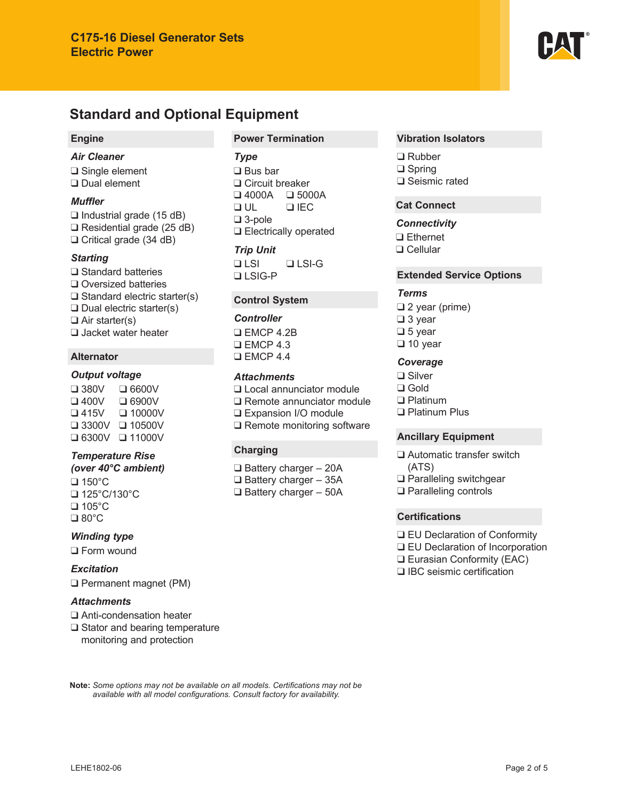

# **Standard and Optional Equipment**

#### **Engine**

# *Air Cleaner*

❑ Single element ❑ Dual element

#### *Muffler*

❑ Industrial grade (15 dB) ❑ Residential grade (25 dB) ❑ Critical grade (34 dB)

# *Starting*

❑ Standard batteries ❑ Oversized batteries ❑ Standard electric starter(s) ❑ Dual electric starter(s) ❑ Air starter(s) ❑ Jacket water heater

# **Alternator**

# *Output voltage*

❑ 380V ❑ 6600V ❑ 400V ❑ 6900V ❑ 415V ❑ 10000V ❑ 3300V ❑ 10500V ❑ 6300V ❑ 11000V

# *Temperature Rise*

*(over 40°C ambient)* ❑ 150°C ❑ 125°C/130°C ❑ 105°C ❑ 80°C

# *Winding type*

❑ Form wound

*Excitation* ❑ Permanent magnet (PM)

#### *Attachments*

- ❑ Anti-condensation heater
- ❑ Stator and bearing temperature
	- monitoring and protection

# **Power Termination**

# *Type*

❑ Bus bar ❑ Circuit breaker ❑ 4000A ❑ 5000A ❑ UL ❑ IEC ❑ 3-pole ❑ Electrically operated

# *Trip Unit*

❑ LSI ❑ LSI-G ❑ LSIG-P

# **Control System**

*Controller*

❑ EMCP 4.2B ❑ EMCP 4.3 ❑ EMCP 4.4

# *Attachments*

❑ Local annunciator module

❑ Remote annunciator module

- ❑ Expansion I/O module
- ❑ Remote monitoring software

# **Charging**

❑ Battery charger – 20A ❑ Battery charger – 35A ❑ Battery charger – 50A

#### **Vibration Isolators**

❑ Rubber ❑ Spring ❑ Seismic rated

# **Cat Connect**

#### *Connectivity*

❑ Ethernet ❑ Cellular

# **Extended Service Options**

# *Terms*

❑ 2 year (prime) ❑ 3 year ❑ 5 year ❑ 10 year

# *Coverage*

❑ Silver ❑ Gold ❑ Platinum ❑ Platinum Plus

# **Ancillary Equipment**

❑ Automatic transfer switch (ATS) ❑ Paralleling switchgear

❑ Paralleling controls

# **Certifications**

- ❑ EU Declaration of Conformity
- ❑ EU Declaration of Incorporation
- ❑ Eurasian Conformity (EAC)
- ❑ IBC seismic certification

Note: Some options may not be available on all models. Certifications may not be available with all model configurations. Consult factory for availability.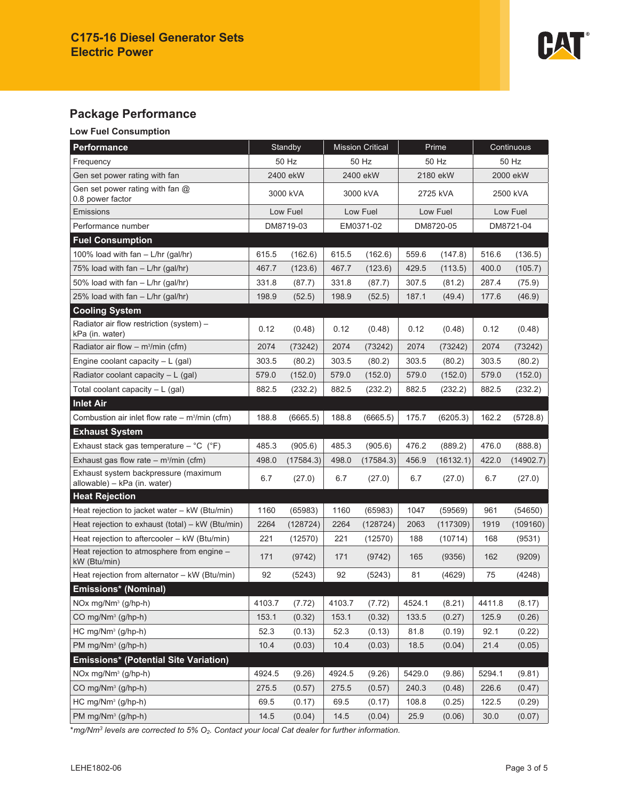

# **Package Performance**

# **Low Fuel Consumption**

| Performance                                                          | Standby   |           | <b>Mission Critical</b> |           | Prime     |           | Continuous |           |
|----------------------------------------------------------------------|-----------|-----------|-------------------------|-----------|-----------|-----------|------------|-----------|
| Frequency                                                            | 50 Hz     |           | 50 Hz                   |           | 50 Hz     |           | 50 Hz      |           |
| Gen set power rating with fan                                        | 2400 ekW  |           | 2400 ekW                |           | 2180 ekW  |           | 2000 ekW   |           |
| Gen set power rating with fan $@$<br>0.8 power factor                | 3000 kVA  |           | 3000 kVA                |           | 2725 kVA  |           | 2500 kVA   |           |
| <b>Emissions</b>                                                     | Low Fuel  |           | Low Fuel                |           | Low Fuel  |           | Low Fuel   |           |
| Performance number                                                   | DM8719-03 |           | EM0371-02               |           | DM8720-05 |           | DM8721-04  |           |
| <b>Fuel Consumption</b>                                              |           |           |                         |           |           |           |            |           |
| 100% load with fan - L/hr (gal/hr)                                   | 615.5     | (162.6)   | 615.5                   | (162.6)   | 559.6     | (147.8)   | 516.6      | (136.5)   |
| 75% load with $fan - L/hr$ (gal/hr)                                  | 467.7     | (123.6)   | 467.7                   | (123.6)   | 429.5     | (113.5)   | 400.0      | (105.7)   |
| 50% load with fan $-$ L/hr (gal/hr)                                  | 331.8     | (87.7)    | 331.8                   | (87.7)    | 307.5     | (81.2)    | 287.4      | (75.9)    |
| 25% load with fan - L/hr (gal/hr)                                    | 198.9     | (52.5)    | 198.9                   | (52.5)    | 187.1     | (49.4)    | 177.6      | (46.9)    |
| <b>Cooling System</b>                                                |           |           |                         |           |           |           |            |           |
| Radiator air flow restriction (system) -<br>kPa (in. water)          | 0.12      | (0.48)    | 0.12                    | (0.48)    | 0.12      | (0.48)    | 0.12       | (0.48)    |
| Radiator air flow - $m^3/m$ in (cfm)                                 | 2074      | (73242)   | 2074                    | (73242)   | 2074      | (73242)   | 2074       | (73242)   |
| Engine coolant capacity $-L$ (gal)                                   | 303.5     | (80.2)    | 303.5                   | (80.2)    | 303.5     | (80.2)    | 303.5      | (80.2)    |
| Radiator coolant capacity $- L$ (gal)                                | 579.0     | (152.0)   | 579.0                   | (152.0)   | 579.0     | (152.0)   | 579.0      | (152.0)   |
| Total coolant capacity $- L$ (gal)                                   | 882.5     | (232.2)   | 882.5                   | (232.2)   | 882.5     | (232.2)   | 882.5      | (232.2)   |
| <b>Inlet Air</b>                                                     |           |           |                         |           |           |           |            |           |
| Combustion air inlet flow rate $-$ m <sup>3</sup> /min (cfm)         | 188.8     | (6665.5)  | 188.8                   | (6665.5)  | 175.7     | (6205.3)  | 162.2      | (5728.8)  |
| <b>Exhaust System</b>                                                |           |           |                         |           |           |           |            |           |
| Exhaust stack gas temperature - $^{\circ}C$ ( $^{\circ}F$ )          | 485.3     | (905.6)   | 485.3                   | (905.6)   | 476.2     | (889.2)   | 476.0      | (888.8)   |
| Exhaust gas flow rate $-$ m <sup>3</sup> /min (cfm)                  | 498.0     | (17584.3) | 498.0                   | (17584.3) | 456.9     | (16132.1) | 422.0      | (14902.7) |
| Exhaust system backpressure (maximum<br>allowable) - kPa (in. water) | 6.7       | (27.0)    | 6.7                     | (27.0)    | 6.7       | (27.0)    | 6.7        | (27.0)    |
| <b>Heat Rejection</b>                                                |           |           |                         |           |           |           |            |           |
| Heat rejection to jacket water - kW (Btu/min)                        | 1160      | (65983)   | 1160                    | (65983)   | 1047      | (59569)   | 961        | (54650)   |
| Heat rejection to exhaust (total) - kW (Btu/min)                     | 2264      | (128724)  | 2264                    | (128724)  | 2063      | (117309)  | 1919       | (109160)  |
| Heat rejection to aftercooler - kW (Btu/min)                         | 221       | (12570)   | 221                     | (12570)   | 188       | (10714)   | 168        | (9531)    |
| Heat rejection to atmosphere from engine -<br>kW (Btu/min)           | 171       | (9742)    | 171                     | (9742)    | 165       | (9356)    | 162        | (9209)    |
| Heat rejection from alternator - kW (Btu/min)                        | 92        | (5243)    | 92                      | (5243)    | 81        | (4629)    | 75         | (4248)    |
| Emissions* (Nominal)                                                 |           |           |                         |           |           |           |            |           |
| NOx mg/Nm <sup>3</sup> (g/hp-h)                                      | 4103.7    | (7.72)    | 4103.7                  | (7.72)    | 4524.1    | (8.21)    | 4411.8     | (8.17)    |
| CO mg/Nm <sup>3</sup> (g/hp-h)                                       | 153.1     | (0.32)    | 153.1                   | (0.32)    | 133.5     | (0.27)    | 125.9      | (0.26)    |
| $HC$ mg/Nm <sup>3</sup> (g/hp-h)                                     | 52.3      | (0.13)    | 52.3                    | (0.13)    | 81.8      | (0.19)    | 92.1       | (0.22)    |
| PM mg/Nm <sup>3</sup> (g/hp-h)                                       | 10.4      | (0.03)    | 10.4                    | (0.03)    | 18.5      | (0.04)    | 21.4       | (0.05)    |
| <b>Emissions* (Potential Site Variation)</b>                         |           |           |                         |           |           |           |            |           |
| NOx mg/Nm <sup>3</sup> (g/hp-h)                                      | 4924.5    | (9.26)    | 4924.5                  | (9.26)    | 5429.0    | (9.86)    | 5294.1     | (9.81)    |
| CO mg/Nm <sup>3</sup> (g/hp-h)                                       | 275.5     | (0.57)    | 275.5                   | (0.57)    | 240.3     | (0.48)    | 226.6      | (0.47)    |
| $HC$ mg/ $Nm^3$ (g/hp-h)                                             | 69.5      | (0.17)    | 69.5                    | (0.17)    | 108.8     | (0.25)    | 122.5      | (0.29)    |
| $PM$ mg/ $Nm^3$ (g/hp-h)                                             | 14.5      | (0.04)    | 14.5                    | (0.04)    | 25.9      | (0.06)    | 30.0       | (0.07)    |

\* *mg/Nm<sup>3</sup> levels are corrected to 5% O2. Contact your local Cat dealer for further information.*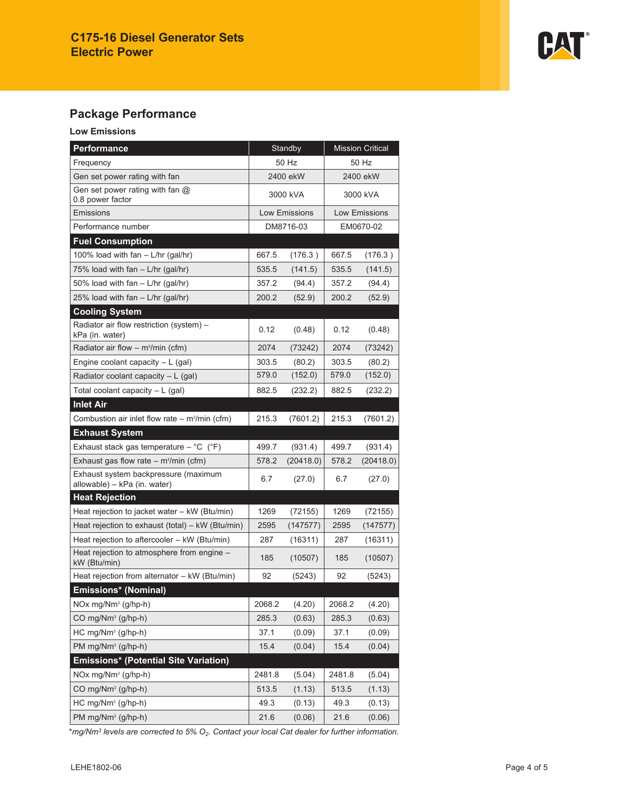

# **Package Performance**

# **Low Emissions**

| <b>Performance</b>                                                   | Standby       |           | <b>Mission Critical</b> |           |  |
|----------------------------------------------------------------------|---------------|-----------|-------------------------|-----------|--|
| Frequency                                                            | 50 Hz         |           | 50 Hz                   |           |  |
| Gen set power rating with fan                                        | 2400 ekW      |           | 2400 ekW                |           |  |
| Gen set power rating with fan $@$<br>0.8 power factor                | 3000 kVA      |           | 3000 kVA                |           |  |
| Emissions                                                            | Low Emissions |           | <b>Low Emissions</b>    |           |  |
| Performance number                                                   | DM8716-03     |           |                         | EM0670-02 |  |
| <b>Fuel Consumption</b>                                              |               |           |                         |           |  |
| 100% load with fan - L/hr (gal/hr)                                   | 667.5         | (176.3)   | 667.5                   | (176.3)   |  |
| 75% load with fan – L/hr (gal/hr)                                    | 535.5         | (141.5)   | 535.5                   | (141.5)   |  |
| 50% load with fan - L/hr (gal/hr)                                    | 357.2         | (94.4)    | 357.2                   | (94.4)    |  |
| 25% load with fan - L/hr (gal/hr)                                    | 200.2         | (52.9)    | 200.2                   | (52.9)    |  |
| <b>Cooling System</b>                                                |               |           |                         |           |  |
| Radiator air flow restriction (system) -<br>kPa (in. water)          | 0.12          | (0.48)    | 0.12                    | (0.48)    |  |
| Radiator air flow - m <sup>3</sup> /min (cfm)                        | 2074          | (73242)   | 2074                    | (73242)   |  |
| Engine coolant capacity $-L$ (gal)                                   | 303.5         | (80.2)    | 303.5                   | (80.2)    |  |
| Radiator coolant capacity $-L$ (gal)                                 | 579.0         | (152.0)   | 579.0                   | (152.0)   |  |
| Total coolant capacity $- L$ (gal)                                   | 882.5         | (232.2)   | 882.5                   | (232.2)   |  |
| <b>Inlet Air</b>                                                     |               |           |                         |           |  |
| Combustion air inlet flow rate $-$ m <sup>3</sup> /min (cfm)         | 215.3         | (7601.2)  | 215.3                   | (7601.2)  |  |
| <b>Exhaust System</b>                                                |               |           |                         |           |  |
| Exhaust stack gas temperature $-$ °C ( $\degree$ F)                  | 499.7         | (931.4)   | 499.7                   | (931.4)   |  |
| Exhaust gas flow rate $-$ m <sup>3</sup> /min (cfm)                  | 578.2         | (20418.0) | 578.2                   | (20418.0) |  |
| Exhaust system backpressure (maximum<br>allowable) - kPa (in. water) | 6.7           | (27.0)    | 6.7                     | (27.0)    |  |
| <b>Heat Rejection</b>                                                |               |           |                         |           |  |
| Heat rejection to jacket water - kW (Btu/min)                        | 1269          | (72155)   | 1269                    | (72155)   |  |
| Heat rejection to exhaust (total) - kW (Btu/min)                     | 2595          | (147577)  | 2595                    | (147577)  |  |
| Heat rejection to aftercooler - kW (Btu/min)                         | 287           | (16311)   | 287                     | (16311)   |  |
| Heat rejection to atmosphere from engine -<br>kW (Btu/min)           | 185           | (10507)   | 185                     | (10507)   |  |
| Heat rejection from alternator - kW (Btu/min)                        | 92            | (5243)    | 92                      | (5243)    |  |
| Emissions* (Nominal)                                                 |               |           |                         |           |  |
| NOx mg/Nm <sup>3</sup> (g/hp-h)                                      | 2068.2        | (4.20)    | 2068.2                  | (4.20)    |  |
| CO mg/Nm <sup>3</sup> (g/hp-h)                                       | 285.3         | (0.63)    | 285.3                   | (0.63)    |  |
| HC mg/Nm <sup>3</sup> (g/hp-h)                                       | 37.1          | (0.09)    | 37.1                    | (0.09)    |  |
| PM mg/Nm <sup>3</sup> (g/hp-h)                                       | 15.4          | (0.04)    | 15.4                    | (0.04)    |  |
| <b>Emissions* (Potential Site Variation)</b>                         |               |           |                         |           |  |
| NOx mg/Nm <sup>3</sup> (g/hp-h)                                      | 2481.8        | (5.04)    | 2481.8                  | (5.04)    |  |
| CO mg/Nm <sup>3</sup> (g/hp-h)                                       | 513.5         | (1.13)    | 513.5                   | (1.13)    |  |
| HC mg/Nm <sup>3</sup> (g/hp-h)                                       | 49.3          | (0.13)    | 49.3                    | (0.13)    |  |
| PM mg/Nm <sup>3</sup> (g/hp-h)                                       | 21.6          | (0.06)    | 21.6                    | (0.06)    |  |

\* *mg/Nm<sup>3</sup> levels are corrected to 5% O2. Contact your local Cat dealer for further information.*